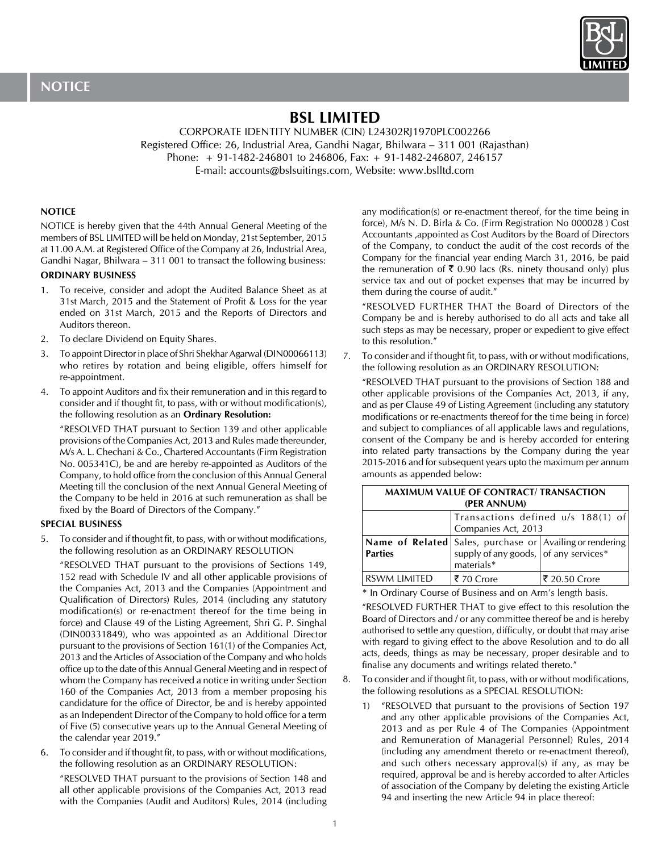

# **BSL LIMITED**

CORPORATE IDENTITY NUMBER (CIN) L24302RJ1970PLC002266 Registered Office: 26, Industrial Area, Gandhi Nagar, Bhilwara – 311 001 (Rajasthan) Phone: + 91-1482-246801 to 246806, Fax: + 91-1482-246807, 246157 E-mail: accounts@bslsuitings.com, Website: www.bslltd.com

## **NOTICE**

NOTICE is hereby given that the 44th Annual General Meeting of the members of BSL LIMITED will be held on Monday, 21st September, 2015 at 11.00 A.M. at Registered Office of the Company at 26, Industrial Area, Gandhi Nagar, Bhilwara – 311 001 to transact the following business:

## **ORDINARY BUSINESS**

- 1. To receive, consider and adopt the Audited Balance Sheet as at 31st March, 2015 and the Statement of Profit & Loss for the year ended on 31st March, 2015 and the Reports of Directors and Auditors thereon.
- 2. To declare Dividend on Equity Shares.
- 3. To appoint Director in place of Shri Shekhar Agarwal (DIN00066113) who retires by rotation and being eligible, offers himself for re-appointment.
- 4. To appoint Auditors and fix their remuneration and in this regard to consider and if thought fit, to pass, with or without modification(s), the following resolution as an **Ordinary Resolution:**

"RESOLVED THAT pursuant to Section 139 and other applicable provisions of the Companies Act, 2013 and Rules made thereunder, M/s A. L. Chechani & Co., Chartered Accountants (Firm Registration No. 005341C), be and are hereby re-appointed as Auditors of the Company, to hold office from the conclusion of this Annual General Meeting till the conclusion of the next Annual General Meeting of the Company to be held in 2016 at such remuneration as shall be fixed by the Board of Directors of the Company."

## **SPECIAL BUSINESS**

5. To consider and if thought fit, to pass, with or without modifications, the following resolution as an ORDINARY RESOLUTION

"RESOLVED THAT pursuant to the provisions of Sections 149, 152 read with Schedule IV and all other applicable provisions of the Companies Act, 2013 and the Companies (Appointment and Qualification of Directors) Rules, 2014 (including any statutory modification(s) or re-enactment thereof for the time being in force) and Clause 49 of the Listing Agreement, Shri G. P. Singhal (DIN00331849), who was appointed as an Additional Director pursuant to the provisions of Section 161(1) of the Companies Act, 2013 and the Articles of Association of the Company and who holds office up to the date of this Annual General Meeting and in respect of whom the Company has received a notice in writing under Section 160 of the Companies Act, 2013 from a member proposing his candidature for the office of Director, be and is hereby appointed as an Independent Director of the Company to hold office for a term of Five (5) consecutive years up to the Annual General Meeting of the calendar year 2019."

6. To consider and if thought fit, to pass, with or without modifications, the following resolution as an ORDINARY RESOLUTION:

"RESOLVED THAT pursuant to the provisions of Section 148 and all other applicable provisions of the Companies Act, 2013 read with the Companies (Audit and Auditors) Rules, 2014 (including

any modification(s) or re-enactment thereof, for the time being in force), M/s N. D. Birla & Co. (Firm Registration No 000028 ) Cost Accountants ,appointed as Cost Auditors by the Board of Directors of the Company, to conduct the audit of the cost records of the Company for the financial year ending March 31, 2016, be paid the remuneration of  $\bar{\tau}$  0.90 lacs (Rs. ninety thousand only) plus service tax and out of pocket expenses that may be incurred by them during the course of audit."

"RESOLVED FURTHER THAT the Board of Directors of the Company be and is hereby authorised to do all acts and take all such steps as may be necessary, proper or expedient to give effect to this resolution."

7. To consider and if thought fit, to pass, with or without modifications, the following resolution as an ORDINARY RESOLUTION:

"RESOLVED THAT pursuant to the provisions of Section 188 and other applicable provisions of the Companies Act, 2013, if any, and as per Clause 49 of Listing Agreement (including any statutory modifications or re-enactments thereof for the time being in force) and subject to compliances of all applicable laws and regulations, consent of the Company be and is hereby accorded for entering into related party transactions by the Company during the year 2015-2016 and for subsequent years upto the maximum per annum amounts as appended below:

| MAAINUM YALUL UL CUNTING ILI INANIACTION<br>(PER ANNUM) |                                                                                                                     |               |
|---------------------------------------------------------|---------------------------------------------------------------------------------------------------------------------|---------------|
|                                                         | Transactions defined u/s 188(1) of<br>Companies Act, 2013                                                           |               |
| <b>Parties</b>                                          | Name of Related   Sales, purchase or $\vert$ Availing or rendering<br>$\vert$ supply of any goods, of any services* |               |
| RSWM LIMITED                                            | ₹ 70 Crore                                                                                                          | ₹ 20.50 Crore |

**MAXIMUM VALUE OF CONTRACT/ TRANSACTION** 

\* In Ordinary Course of Business and on Arm's length basis.

"RESOLVED FURTHER THAT to give effect to this resolution the Board of Directors and / or any committee thereof be and is hereby authorised to settle any question, difficulty, or doubt that may arise with regard to giving effect to the above Resolution and to do all acts, deeds, things as may be necessary, proper desirable and to finalise any documents and writings related thereto."

- 8. To consider and if thought fit, to pass, with or without modifications, the following resolutions as a SPECIAL RESOLUTION:
	- 1) "RESOLVED that pursuant to the provisions of Section 197 and any other applicable provisions of the Companies Act, 2013 and as per Rule 4 of The Companies (Appointment and Remuneration of Managerial Personnel) Rules, 2014 (including any amendment thereto or re-enactment thereof), and such others necessary approval(s) if any, as may be required, approval be and is hereby accorded to alter Articles of association of the Company by deleting the existing Article 94 and inserting the new Article 94 in place thereof: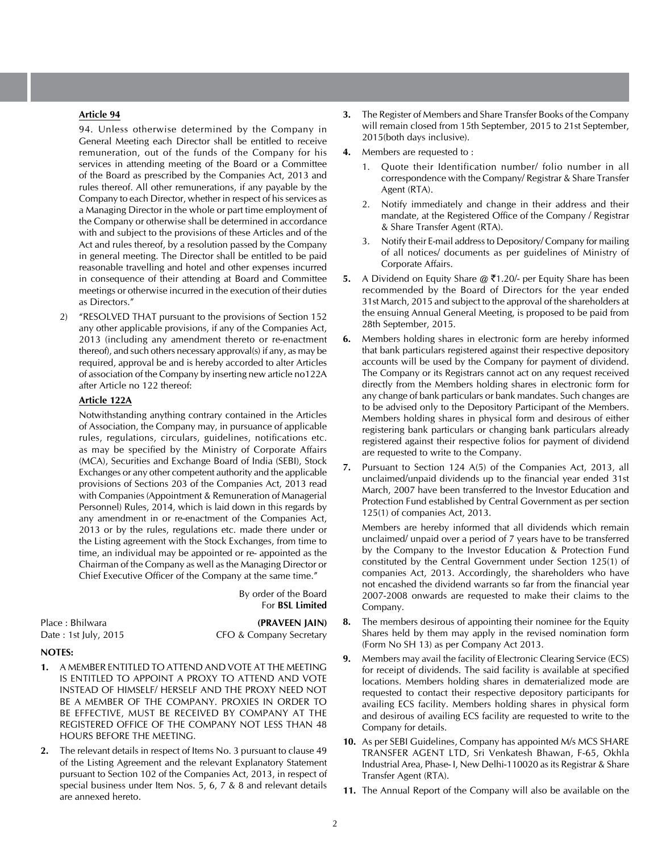## **Article 94**

94. Unless otherwise determined by the Company in General Meeting each Director shall be entitled to receive remuneration, out of the funds of the Company for his services in attending meeting of the Board or a Committee of the Board as prescribed by the Companies Act, 2013 and rules thereof. All other remunerations, if any payable by the Company to each Director, whether in respect of his services as a Managing Director in the whole or part time employment of the Company or otherwise shall be determined in accordance with and subject to the provisions of these Articles and of the Act and rules thereof, by a resolution passed by the Company in general meeting. The Director shall be entitled to be paid reasonable travelling and hotel and other expenses incurred in consequence of their attending at Board and Committee meetings or otherwise incurred in the execution of their duties as Directors."

2) "RESOLVED THAT pursuant to the provisions of Section 152 any other applicable provisions, if any of the Companies Act, 2013 (including any amendment thereto or re-enactment thereof), and such others necessary approval(s) if any, as may be required, approval be and is hereby accorded to alter Articles of association of the Company by inserting new article no122A after Article no 122 thereof:

## **Article 122A**

Notwithstanding anything contrary contained in the Articles of Association, the Company may, in pursuance of applicable rules, regulations, circulars, guidelines, notifications etc. as may be specified by the Ministry of Corporate Affairs (MCA), Securities and Exchange Board of India (SEBI), Stock Exchanges or any other competent authority and the applicable provisions of Sections 203 of the Companies Act, 2013 read with Companies (Appointment & Remuneration of Managerial Personnel) Rules, 2014, which is laid down in this regards by any amendment in or re-enactment of the Companies Act, 2013 or by the rules, regulations etc. made there under or the Listing agreement with the Stock Exchanges, from time to time, an individual may be appointed or re- appointed as the Chairman of the Company as well as the Managing Director or Chief Executive Officer of the Company at the same time."

> By order of the Board For **BSL Limited**

Place : Bhilwara **(PRAVEEN JAIN)** Date : 1st July, 2015 CFO & Company Secretary

#### **NOTES:**

- **1.** A MEMBER ENTITLED TO ATTEND AND VOTE AT THE MEETING IS ENTITLED TO APPOINT A PROXY TO ATTEND AND VOTE INSTEAD OF HIMSELF/ HERSELF AND THE PROXY NEED NOT BE A MEMBER OF THE COMPANY. PROXIES IN ORDER TO BE EFFECTIVE, MUST BE RECEIVED BY COMPANY AT THE REGISTERED OFFICE OF THE COMPANY NOT LESS THAN 48 HOURS BEFORE THE MEETING.
- **2.** The relevant details in respect of Items No. 3 pursuant to clause 49 of the Listing Agreement and the relevant Explanatory Statement pursuant to Section 102 of the Companies Act, 2013, in respect of special business under Item Nos. 5, 6, 7 & 8 and relevant details are annexed hereto.
- **3.** The Register of Members and Share Transfer Books of the Company will remain closed from 15th September, 2015 to 21st September, 2015(both days inclusive).
- **4.** Members are requested to :
	- 1. Quote their Identification number/ folio number in all correspondence with the Company/ Registrar & Share Transfer Agent (RTA).
	- 2. Notify immediately and change in their address and their mandate, at the Registered Office of the Company / Registrar & Share Transfer Agent (RTA).
	- 3. Notify their E-mail address to Depository/ Company for mailing of all notices/ documents as per guidelines of Ministry of Corporate Affairs.
- **5.** A Dividend on Equity Share @ ₹1.20/- per Equity Share has been recommended by the Board of Directors for the year ended 31st March, 2015 and subject to the approval of the shareholders at the ensuing Annual General Meeting, is proposed to be paid from 28th September, 2015.
- **6.** Members holding shares in electronic form are hereby informed that bank particulars registered against their respective depository accounts will be used by the Company for payment of dividend. The Company or its Registrars cannot act on any request received directly from the Members holding shares in electronic form for any change of bank particulars or bank mandates. Such changes are to be advised only to the Depository Participant of the Members. Members holding shares in physical form and desirous of either registering bank particulars or changing bank particulars already registered against their respective folios for payment of dividend are requested to write to the Company.
- **7.** Pursuant to Section 124 A(5) of the Companies Act, 2013, all unclaimed/unpaid dividends up to the financial year ended 31st March, 2007 have been transferred to the Investor Education and Protection Fund established by Central Government as per section 125(1) of companies Act, 2013.

Members are hereby informed that all dividends which remain unclaimed/ unpaid over a period of 7 years have to be transferred by the Company to the Investor Education & Protection Fund constituted by the Central Government under Section 125(1) of companies Act, 2013. Accordingly, the shareholders who have not encashed the dividend warrants so far from the financial year 2007-2008 onwards are requested to make their claims to the Company.

- **8.** The members desirous of appointing their nominee for the Equity Shares held by them may apply in the revised nomination form (Form No SH 13) as per Company Act 2013.
- **9.** Members may avail the facility of Electronic Clearing Service (ECS) for receipt of dividends. The said facility is available at specified locations. Members holding shares in dematerialized mode are requested to contact their respective depository participants for availing ECS facility. Members holding shares in physical form and desirous of availing ECS facility are requested to write to the Company for details.
- **10.** As per SEBI Guidelines, Company has appointed M/s MCS SHARE TRANSFER AGENT LTD, Sri Venkatesh Bhawan, F-65, Okhla Industrial Area, Phase- I, New Delhi-110020 as its Registrar & Share Transfer Agent (RTA).
- **11.** The Annual Report of the Company will also be available on the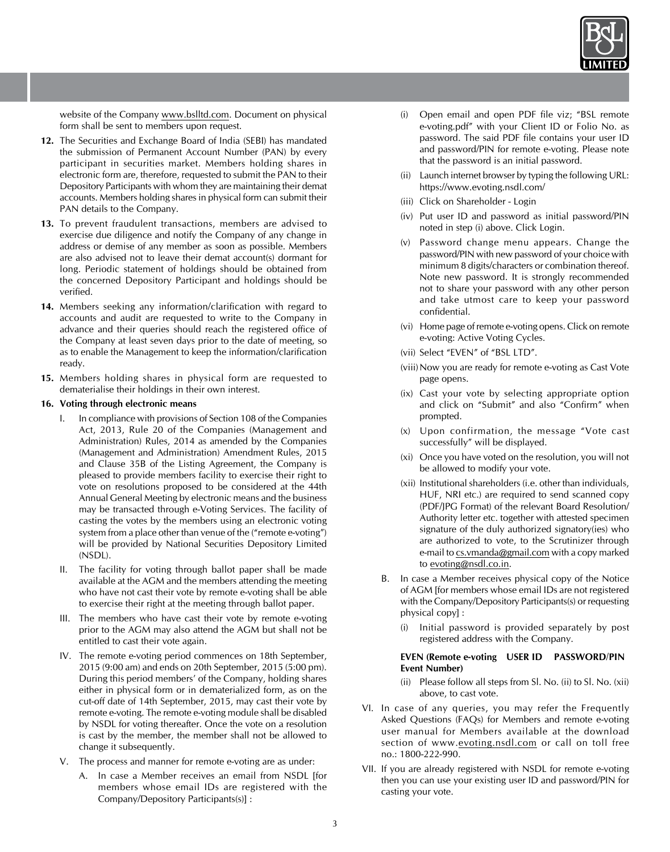

website of the Company www.bslltd.com. Document on physical form shall be sent to members upon request.

- **12.** The Securities and Exchange Board of India (SEBI) has mandated the submission of Permanent Account Number (PAN) by every participant in securities market. Members holding shares in electronic form are, therefore, requested to submit the PAN to their Depository Participants with whom they are maintaining their demat accounts. Members holding shares in physical form can submit their PAN details to the Company.
- **13.** To prevent fraudulent transactions, members are advised to exercise due diligence and notify the Company of any change in address or demise of any member as soon as possible. Members are also advised not to leave their demat account(s) dormant for long. Periodic statement of holdings should be obtained from the concerned Depository Participant and holdings should be verified.
- **14.** Members seeking any information/clarification with regard to accounts and audit are requested to write to the Company in advance and their queries should reach the registered office of the Company at least seven days prior to the date of meeting, so as to enable the Management to keep the information/clarification ready.
- **15.** Members holding shares in physical form are requested to dematerialise their holdings in their own interest.

## **16. Voting through electronic means**

- I. In compliance with provisions of Section 108 of the Companies Act, 2013, Rule 20 of the Companies (Management and Administration) Rules, 2014 as amended by the Companies (Management and Administration) Amendment Rules, 2015 and Clause 35B of the Listing Agreement, the Company is pleased to provide members facility to exercise their right to vote on resolutions proposed to be considered at the 44th Annual General Meeting by electronic means and the business may be transacted through e-Voting Services. The facility of casting the votes by the members using an electronic voting system from a place other than venue of the ("remote e-voting") will be provided by National Securities Depository Limited (NSDL).
- II. The facility for voting through ballot paper shall be made available at the AGM and the members attending the meeting who have not cast their vote by remote e-voting shall be able to exercise their right at the meeting through ballot paper.
- III. The members who have cast their vote by remote e-voting prior to the AGM may also attend the AGM but shall not be entitled to cast their vote again.
- IV. The remote e-voting period commences on 18th September, 2015 (9:00 am) and ends on 20th September, 2015 (5:00 pm). During this period members' of the Company, holding shares either in physical form or in dematerialized form, as on the cut-off date of 14th September, 2015, may cast their vote by remote e-voting. The remote e-voting module shall be disabled by NSDL for voting thereafter. Once the vote on a resolution is cast by the member, the member shall not be allowed to change it subsequently.
- V. The process and manner for remote e-voting are as under:
	- A. In case a Member receives an email from NSDL Ifor members whose email IDs are registered with the Company/Depository Participants(s)] :
- (i) Open email and open PDF file viz; "BSL remote e-voting.pdf" with your Client ID or Folio No. as password. The said PDF file contains your user ID and password/PIN for remote e-voting. Please note that the password is an initial password.
- (ii) Launch internet browser by typing the following URL: https://www.evoting.nsdl.com/
- (iii) Click on Shareholder Login
- (iv) Put user ID and password as initial password/PIN noted in step (i) above. Click Login.
- (v) Password change menu appears. Change the password/PIN with new password of your choice with minimum 8 digits/characters or combination thereof. Note new password. It is strongly recommended not to share your password with any other person and take utmost care to keep your password confidential.
- (vi) Home page of remote e-voting opens. Click on remote e-voting: Active Voting Cycles.
- (vii) Select "EVEN" of "BSL LTD".
- (viii) Now you are ready for remote e-voting as Cast Vote page opens.
- (ix) Cast your vote by selecting appropriate option and click on "Submit" and also "Confirm" when prompted.
- (x) Upon confirmation, the message "Vote cast successfully" will be displayed.
- (xi) Once you have voted on the resolution, you will not be allowed to modify your vote.
- (xii) Institutional shareholders (i.e. other than individuals, HUF, NRI etc.) are required to send scanned copy (PDF/JPG Format) of the relevant Board Resolution/ Authority letter etc. together with attested specimen signature of the duly authorized signatory(ies) who are authorized to vote, to the Scrutinizer through e-mail to cs.vmanda@gmail.com with a copy marked to evoting@nsdl.co.in.
- B. In case a Member receives physical copy of the Notice of AGM [for members whose email IDs are not registered with the Company/Depository Participants(s) or requesting physical copy] :
	- (i) Initial password is provided separately by post registered address with the Company.

## **EVEN (Remote e-voting USER ID PASSWORD/PIN Event Number)**

- (ii) Please follow all steps from Sl. No. (ii) to Sl. No. (xii) above, to cast vote.
- VI. In case of any queries, you may refer the Frequently Asked Questions (FAQs) for Members and remote e-voting user manual for Members available at the download section of www.evoting.nsdl.com or call on toll free no.: 1800-222-990.
- VII. If you are already registered with NSDL for remote e-voting then you can use your existing user ID and password/PIN for casting your vote.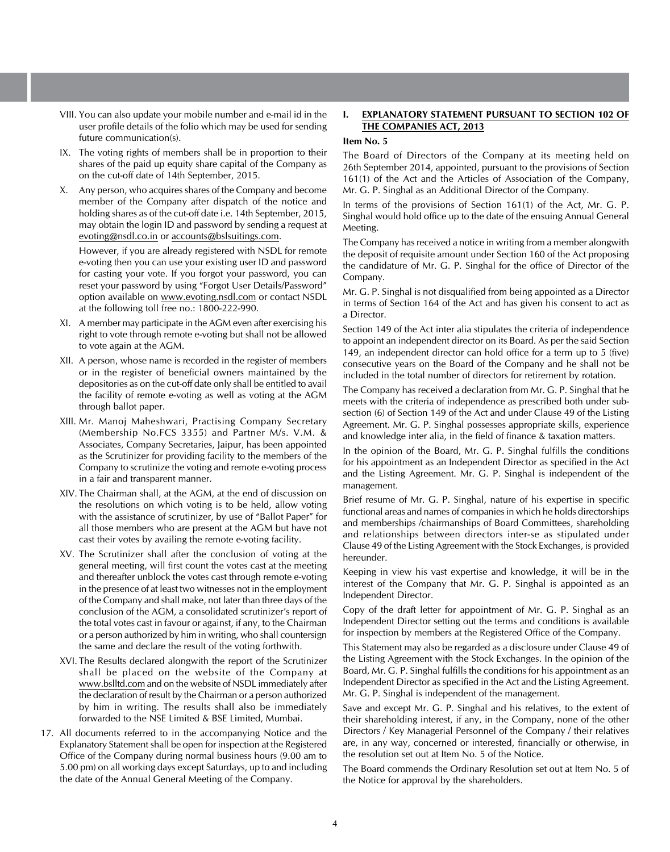- VIII. You can also update your mobile number and e-mail id in the user profile details of the folio which may be used for sending future communication(s).
- IX. The voting rights of members shall be in proportion to their shares of the paid up equity share capital of the Company as on the cut-off date of 14th September, 2015.
- X. Any person, who acquires shares of the Company and become member of the Company after dispatch of the notice and holding shares as of the cut-off date i.e. 14th September, 2015, may obtain the login ID and password by sending a request at evoting@nsdl.co.in or accounts@bslsuitings.com.

 However, if you are already registered with NSDL for remote e-voting then you can use your existing user ID and password for casting your vote. If you forgot your password, you can reset your password by using "Forgot User Details/Password" option available on www.evoting.nsdl.com or contact NSDL at the following toll free no.: 1800-222-990.

- XI. A member may participate in the AGM even after exercising his right to vote through remote e-voting but shall not be allowed to vote again at the AGM.
- XII. A person, whose name is recorded in the register of members or in the register of beneficial owners maintained by the depositories as on the cut-off date only shall be entitled to avail the facility of remote e-voting as well as voting at the AGM through ballot paper.
- XIII. Mr. Manoj Maheshwari, Practising Company Secretary (Membership No.FCS 3355) and Partner M/s. V.M. & Associates, Company Secretaries, Jaipur, has been appointed as the Scrutinizer for providing facility to the members of the Company to scrutinize the voting and remote e-voting process in a fair and transparent manner.
- XIV. The Chairman shall, at the AGM, at the end of discussion on the resolutions on which voting is to be held, allow voting with the assistance of scrutinizer, by use of "Ballot Paper" for all those members who are present at the AGM but have not cast their votes by availing the remote e-voting facility.
- XV. The Scrutinizer shall after the conclusion of voting at the general meeting, will first count the votes cast at the meeting and thereafter unblock the votes cast through remote e-voting in the presence of at least two witnesses not in the employment of the Company and shall make, not later than three days of the conclusion of the AGM, a consolidated scrutinizer's report of the total votes cast in favour or against, if any, to the Chairman or a person authorized by him in writing, who shall countersign the same and declare the result of the voting forthwith.
- XVI. The Results declared alongwith the report of the Scrutinizer shall be placed on the website of the Company at www.bslltd.com and on the website of NSDL immediately after the declaration of result by the Chairman or a person authorized by him in writing. The results shall also be immediately forwarded to the NSE Limited & BSE Limited, Mumbai.
- 17. All documents referred to in the accompanying Notice and the Explanatory Statement shall be open for inspection at the Registered Office of the Company during normal business hours (9.00 am to 5.00 pm) on all working days except Saturdays, up to and including the date of the Annual General Meeting of the Company.

#### **I. EXPLANATORY STATEMENT PURSUANT TO SECTION 102 OF THE COMPANIES ACT, 2013**

## **Item No. 5**

The Board of Directors of the Company at its meeting held on 26th September 2014, appointed, pursuant to the provisions of Section 161(1) of the Act and the Articles of Association of the Company, Mr. G. P. Singhal as an Additional Director of the Company.

In terms of the provisions of Section 161(1) of the Act, Mr. G. P. Singhal would hold office up to the date of the ensuing Annual General Meeting.

The Company has received a notice in writing from a member alongwith the deposit of requisite amount under Section 160 of the Act proposing the candidature of Mr. G. P. Singhal for the office of Director of the Company.

Mr. G. P. Singhal is not disqualified from being appointed as a Director in terms of Section 164 of the Act and has given his consent to act as a Director.

Section 149 of the Act inter alia stipulates the criteria of independence to appoint an independent director on its Board. As per the said Section 149, an independent director can hold office for a term up to 5 (five) consecutive years on the Board of the Company and he shall not be included in the total number of directors for retirement by rotation.

The Company has received a declaration from Mr. G. P. Singhal that he meets with the criteria of independence as prescribed both under subsection (6) of Section 149 of the Act and under Clause 49 of the Listing Agreement. Mr. G. P. Singhal possesses appropriate skills, experience and knowledge inter alia, in the field of finance & taxation matters.

In the opinion of the Board, Mr. G. P. Singhal fulfills the conditions for his appointment as an Independent Director as specified in the Act and the Listing Agreement. Mr. G. P. Singhal is independent of the management.

Brief resume of Mr. G. P. Singhal, nature of his expertise in specific functional areas and names of companies in which he holds directorships and memberships /chairmanships of Board Committees, shareholding and relationships between directors inter-se as stipulated under Clause 49 of the Listing Agreement with the Stock Exchanges, is provided hereunder.

Keeping in view his vast expertise and knowledge, it will be in the interest of the Company that Mr. G. P. Singhal is appointed as an Independent Director.

Copy of the draft letter for appointment of Mr. G. P. Singhal as an Independent Director setting out the terms and conditions is available for inspection by members at the Registered Office of the Company.

This Statement may also be regarded as a disclosure under Clause 49 of the Listing Agreement with the Stock Exchanges. In the opinion of the Board, Mr. G. P. Singhal fulfills the conditions for his appointment as an Independent Director as specified in the Act and the Listing Agreement. Mr. G. P. Singhal is independent of the management.

Save and except Mr. G. P. Singhal and his relatives, to the extent of their shareholding interest, if any, in the Company, none of the other Directors / Key Managerial Personnel of the Company / their relatives are, in any way, concerned or interested, financially or otherwise, in the resolution set out at Item No. 5 of the Notice.

The Board commends the Ordinary Resolution set out at Item No. 5 of the Notice for approval by the shareholders.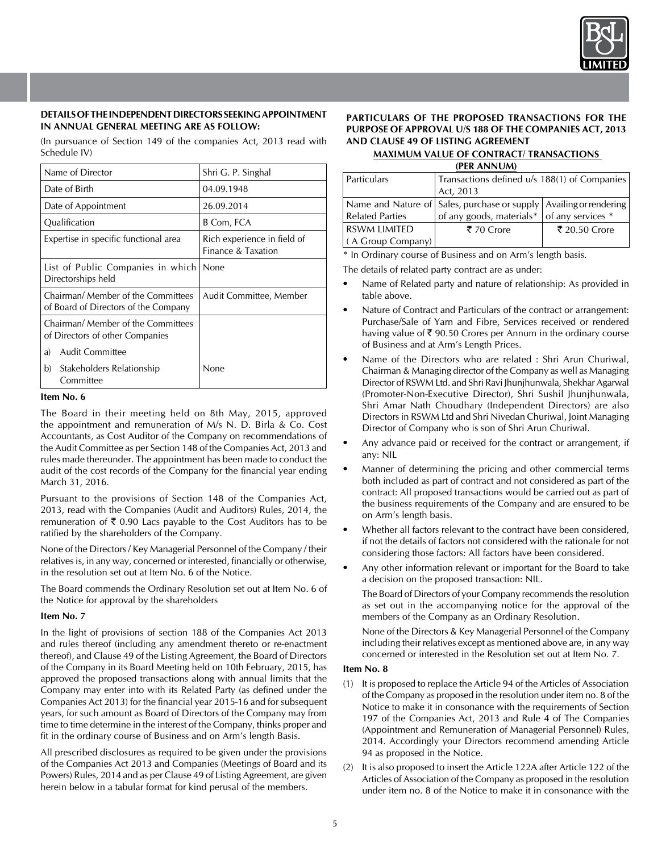

## **DETAILS OF THE INDEPENDENT DIRECTORS SEEKING APPOINTMENT IN ANNUAL GENERAL MEETING ARE AS FOLLOW:**

(In pursuance of Section 149 of the companies Act, 2013 read with Schedule IV)

| Name of Director                                                           | Shri G. P. Singhal                                |
|----------------------------------------------------------------------------|---------------------------------------------------|
| Date of Birth                                                              | 04.09.1948                                        |
| Date of Appointment                                                        | 26.09.2014                                        |
| Qualification                                                              | B Com, FCA                                        |
| Expertise in specific functional area                                      | Rich experience in field of<br>Finance & Taxation |
| List of Public Companies in which None<br>Directorships held               |                                                   |
| Chairman/ Member of the Committees<br>of Board of Directors of the Company | Audit Committee, Member                           |
| Chairman/ Member of the Committees<br>of Directors of other Companies      |                                                   |
| <b>Audit Committee</b><br>a)                                               |                                                   |
| Stakeholders Relationship<br>b)<br>Committee                               | None                                              |

#### **Item No. 6**

The Board in their meeting held on 8th May, 2015, approved the appointment and remuneration of M/s N. D. Birla & Co. Cost Accountants, as Cost Auditor of the Company on recommendations of the Audit Committee as per Section 148 of the Companies Act, 2013 and rules made thereunder. The appointment has been made to conduct the audit of the cost records of the Company for the financial year ending March 31, 2016.

Pursuant to the provisions of Section 148 of the Companies Act, 2013, read with the Companies (Audit and Auditors) Rules, 2014, the remuneration of  $\bar{\tau}$  0.90 Lacs payable to the Cost Auditors has to be ratified by the shareholders of the Company.

None of the Directors / Key Managerial Personnel of the Company / their relatives is, in any way, concerned or interested, financially or otherwise, in the resolution set out at Item No. 6 of the Notice.

The Board commends the Ordinary Resolution set out at Item No. 6 of the Notice for approval by the shareholders

## **Item No. 7**

In the light of provisions of section 188 of the Companies Act 2013 and rules thereof (including any amendment thereto or re-enactment thereof), and Clause 49 of the Listing Agreement, the Board of Directors of the Company in its Board Meeting held on 10th February, 2015, has approved the proposed transactions along with annual limits that the Company may enter into with its Related Party (as defined under the Companies Act 2013) for the financial year 2015-16 and for subsequent years, for such amount as Board of Directors of the Company may from time to time determine in the interest of the Company, thinks proper and fit in the ordinary course of Business and on Arm's length Basis.

All prescribed disclosures as required to be given under the provisions of the Companies Act 2013 and Companies (Meetings of Board and its Powers) Rules, 2014 and as per Clause 49 of Listing Agreement, are given herein below in a tabular format for kind perusal of the members.

## **PARTICULARS OF THE PROPOSED TRANSACTIONS FOR THE PURPOSE OF APPROVAL U/S 188 OF THE COMPANIES ACT, 2013 AND CLAUSE 49 OF LISTING AGREEMENT**

#### **MAXIMUM VALUE OF CONTRACT/ TRANSACTIONS (PER ANNUM)**

| Particulars            | Transactions defined u/s 188(1) of Companies                       |               |  |
|------------------------|--------------------------------------------------------------------|---------------|--|
|                        | Act, 2013                                                          |               |  |
|                        | Name and Nature of Sales, purchase or supply Availing or rendering |               |  |
| <b>Related Parties</b> | of any goods, materials* of any services *                         |               |  |
| <b>RSWM LIMITED</b>    | ₹ 70 Crore                                                         | ₹ 20.50 Crore |  |
| (A Group Company)      |                                                                    |               |  |

\* In Ordinary course of Business and on Arm's length basis.

The details of related party contract are as under:

- Name of Related party and nature of relationship: As provided in table above.
- Nature of Contract and Particulars of the contract or arrangement: Purchase/Sale of Yarn and Fibre, Services received or rendered having value of  $\bar{\tau}$  90.50 Crores per Annum in the ordinary course of Business and at Arm's Length Prices.
- Name of the Directors who are related : Shri Arun Churiwal, Chairman & Managing director of the Company as well as Managing Director of RSWM Ltd. and Shri Ravi Jhunjhunwala, Shekhar Agarwal (Promoter-Non-Executive Director), Shri Sushil Jhunjhunwala, Shri Amar Nath Choudhary (Independent Directors) are also Directors in RSWM Ltd and Shri Nivedan Churiwal, Joint Managing Director of Company who is son of Shri Arun Churiwal.
- Any advance paid or received for the contract or arrangement, if any: NIL
- Manner of determining the pricing and other commercial terms both included as part of contract and not considered as part of the contract: All proposed transactions would be carried out as part of the business requirements of the Company and are ensured to be on Arm's length basis.
- Whether all factors relevant to the contract have been considered, if not the details of factors not considered with the rationale for not considering those factors: All factors have been considered.
- Any other information relevant or important for the Board to take a decision on the proposed transaction: NIL.

The Board of Directors of your Company recommends the resolution as set out in the accompanying notice for the approval of the members of the Company as an Ordinary Resolution.

None of the Directors & Key Managerial Personnel of the Company including their relatives except as mentioned above are, in any way concerned or interested in the Resolution set out at Item No. 7.

## **Item No. 8**

- (1) It is proposed to replace the Article 94 of the Articles of Association of the Company as proposed in the resolution under item no. 8 of the Notice to make it in consonance with the requirements of Section 197 of the Companies Act, 2013 and Rule 4 of The Companies (Appointment and Remuneration of Managerial Personnel) Rules, 2014. Accordingly your Directors recommend amending Article 94 as proposed in the Notice.
- (2) It is also proposed to insert the Article 122A after Article 122 of the Articles of Association of the Company as proposed in the resolution under item no. 8 of the Notice to make it in consonance with the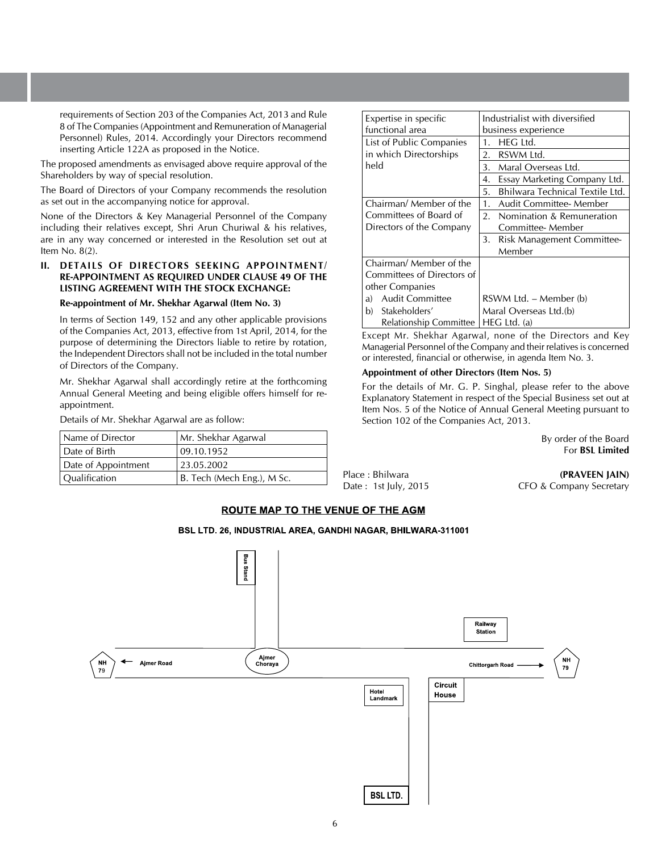requirements of Section 203 of the Companies Act, 2013 and Rule 8 of The Companies (Appointment and Remuneration of Managerial Personnel) Rules, 2014. Accordingly your Directors recommend inserting Article 122A as proposed in the Notice.

The proposed amendments as envisaged above require approval of the Shareholders by way of special resolution.

The Board of Directors of your Company recommends the resolution as set out in the accompanying notice for approval.

None of the Directors & Key Managerial Personnel of the Company including their relatives except, Shri Arun Churiwal & his relatives, are in any way concerned or interested in the Resolution set out at Item No. 8(2).

## **II. DETAILS OF DIRECTORS SEEKING APPOINTMENT/ RE-APPOINTMENT AS REQUIRED UNDER CLAUSE 49 OF THE LISTING AGREEMENT WITH THE STOCK EXCHANGE:**

#### **Re-appointment of Mr. Shekhar Agarwal (Item No. 3)**

In terms of Section 149, 152 and any other applicable provisions of the Companies Act, 2013, effective from 1st April, 2014, for the purpose of determining the Directors liable to retire by rotation, the Independent Directors shall not be included in the total number of Directors of the Company.

Mr. Shekhar Agarwal shall accordingly retire at the forthcoming Annual General Meeting and being eligible offers himself for reappointment.

Details of Mr. Shekhar Agarwal are as follow:

| Name of Director    | Mr. Shekhar Agarwal        |
|---------------------|----------------------------|
| Date of Birth       | 09.10.1952                 |
| Date of Appointment | 23.05.2002                 |
| Qualification       | B. Tech (Mech Eng.), M Sc. |

| Expertise in specific        | Industrialist with diversified        |  |  |
|------------------------------|---------------------------------------|--|--|
| functional area              | business experience                   |  |  |
| List of Public Companies     | HEG Ltd.<br>1.                        |  |  |
| in which Directorships       | RSWM Ltd.<br>2.                       |  |  |
| held                         | Maral Overseas Ltd.<br>3.             |  |  |
|                              | Essay Marketing Company Ltd.<br>4.    |  |  |
|                              | Bhilwara Technical Textile Ltd.<br>5. |  |  |
| Chairman/ Member of the      | Audit Committee- Member<br>1.         |  |  |
| Committees of Board of       | 2.<br>Nomination & Remuneration       |  |  |
| Directors of the Company     | Committee-Member                      |  |  |
|                              | 3.<br>Risk Management Committee-      |  |  |
|                              | Member                                |  |  |
| Chairman/ Member of the      |                                       |  |  |
| Committees of Directors of   |                                       |  |  |
| other Companies              |                                       |  |  |
| <b>Audit Committee</b><br>a) | RSWM Ltd. – Member (b)                |  |  |
| Stakeholders'<br>b)          | Maral Overseas Ltd.(b)                |  |  |
| Relationship Committee       | $HEG$ Ltd. (a)                        |  |  |

Except Mr. Shekhar Agarwal, none of the Directors and Key Managerial Personnel of the Company and their relatives is concerned or interested, financial or otherwise, in agenda Item No. 3.

## **Appointment of other Directors (Item Nos. 5)**

For the details of Mr. G. P. Singhal, please refer to the above Explanatory Statement in respect of the Special Business set out at Item Nos. 5 of the Notice of Annual General Meeting pursuant to Section 102 of the Companies Act, 2013.

> By order of the Board For **BSL Limited**

Place : Bhilwara **(PRAVEEN JAIN)** Date : 1st July, 2015 CFO & Company Secretary

#### **ROUTE MAP TO THE VENUE OF THE AGM**

## BSL LTD. 26, INDUSTRIAL AREA, GANDHI NAGAR, BHILWARA-311001

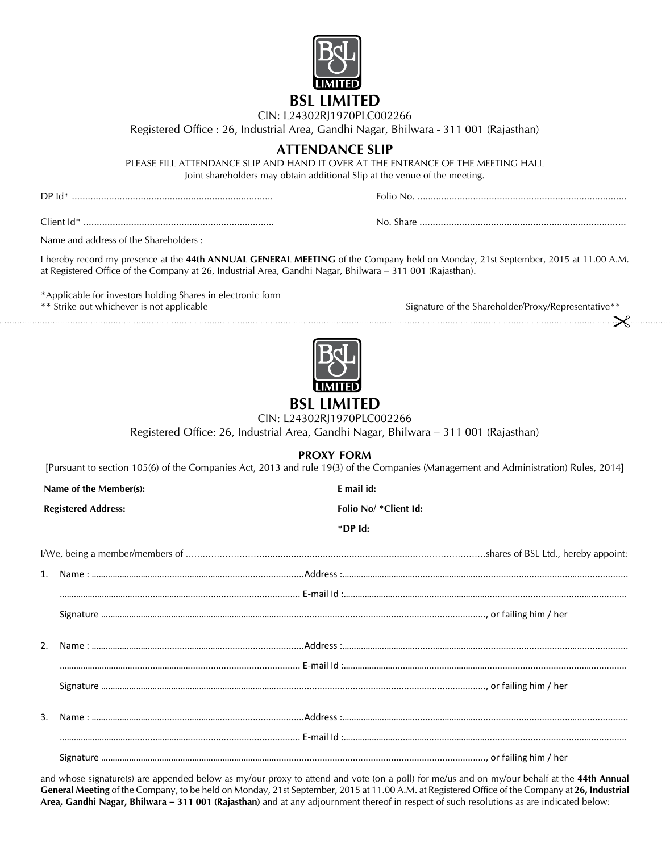

# CIN: L24302RJ1970PLC002266

Registered Office : 26, Industrial Area, Gandhi Nagar, Bhilwara - 311 001 (Rajasthan)

## **Attendance Slip**

PLEASE FILL ATTENDANCE SLIP AND HAND IT OVER AT THE ENTRANCE OF THE MEETING HALL Joint shareholders may obtain additional Slip at the venue of the meeting.

DP Id\* ............................................................................ Folio No. ...............................................................................

Client Id\* ........................................................................ No. Share ..............................................................................

Name and address of the Shareholders :

I hereby record my presence at the **44th ANNUAL GENERAL MEETING** of the Company held on Monday, 21st September, 2015 at 11.00 A.M. at Registered Office of the Company at 26, Industrial Area, Gandhi Nagar, Bhilwara – 311 001 (Rajasthan).

\*Applicable for investors holding Shares in electronic form

\*\* Strike out whichever is not applicable Signature of the Shareholder/Proxy/Representative\*\* 



## **BSL LIMITED**

CIN: L24302RJ1970PLC002266

Registered Office: 26, Industrial Area, Gandhi Nagar, Bhilwara – 311 001 (Rajasthan)

## **PROXY FORM**

[Pursuant to section 105(6) of the Companies Act, 2013 and rule 19(3) of the Companies (Management and Administration) Rules, 2014]

**Name of the Member(s): E mail id:**

**Registered Address: Folio No/ \*Client Id:**

**\*DP Id:**

and whose signature(s) are appended below as my/our proxy to attend and vote (on a poll) for me/us and on my/our behalf at the **44th Annual General Meeting** of the Company, to be held on Monday, 21st September, 2015 at 11.00 A.M. at Registered Office of the Company at **26, Industrial Area, Gandhi Nagar, Bhilwara – 311 001 (Rajasthan)** and at any adjournment thereof in respect of such resolutions as are indicated below: